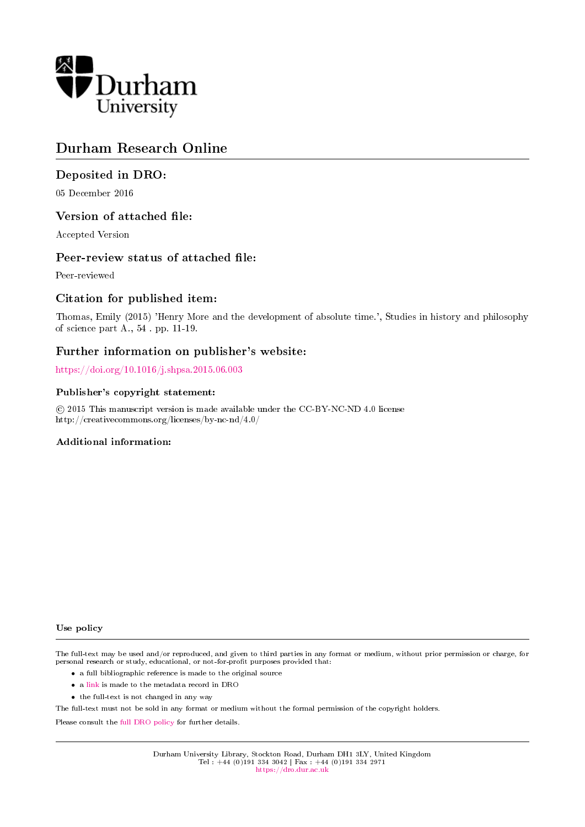

# Durham Research Online

# Deposited in DRO:

05 December 2016

# Version of attached file:

Accepted Version

# Peer-review status of attached file:

Peer-reviewed

# Citation for published item:

Thomas, Emily (2015) 'Henry More and the development of absolute time.', Studies in history and philosophy of science part A., 54 . pp. 11-19.

# Further information on publisher's website:

<https://doi.org/10.1016/j.shpsa.2015.06.003>

#### Publisher's copyright statement:

 c 2015 This manuscript version is made available under the CC-BY-NC-ND 4.0 license http://creativecommons.org/licenses/by-nc-nd/4.0/

### Additional information:

#### Use policy

The full-text may be used and/or reproduced, and given to third parties in any format or medium, without prior permission or charge, for personal research or study, educational, or not-for-profit purposes provided that:

- a full bibliographic reference is made to the original source
- a [link](http://dro.dur.ac.uk/20393/) is made to the metadata record in DRO
- the full-text is not changed in any way

The full-text must not be sold in any format or medium without the formal permission of the copyright holders.

Please consult the [full DRO policy](https://dro.dur.ac.uk/policies/usepolicy.pdf) for further details.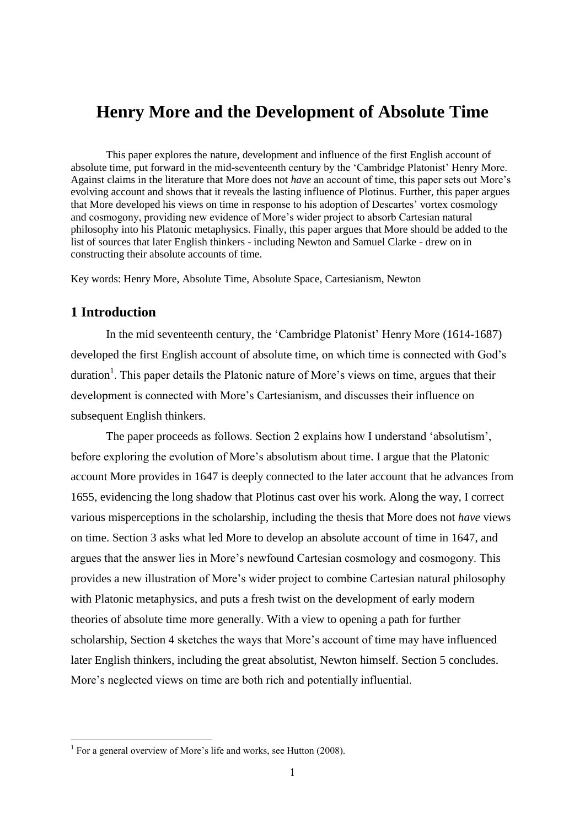# **Henry More and the Development of Absolute Time**

This paper explores the nature, development and influence of the first English account of absolute time, put forward in the mid-seventeenth century by the 'Cambridge Platonist' Henry More. Against claims in the literature that More does not *have* an account of time, this paper sets out More's evolving account and shows that it reveals the lasting influence of Plotinus. Further, this paper argues that More developed his views on time in response to his adoption of Descartes' vortex cosmology and cosmogony, providing new evidence of More's wider project to absorb Cartesian natural philosophy into his Platonic metaphysics. Finally, this paper argues that More should be added to the list of sources that later English thinkers - including Newton and Samuel Clarke - drew on in constructing their absolute accounts of time.

Key words: Henry More, Absolute Time, Absolute Space, Cartesianism, Newton

# **1 Introduction**

<u>.</u>

In the mid seventeenth century, the 'Cambridge Platonist' Henry More (1614-1687) developed the first English account of absolute time, on which time is connected with God's duration<sup>1</sup>. This paper details the Platonic nature of More's views on time, argues that their development is connected with More's Cartesianism, and discusses their influence on subsequent English thinkers.

The paper proceeds as follows. Section 2 explains how I understand 'absolutism', before exploring the evolution of More's absolutism about time. I argue that the Platonic account More provides in 1647 is deeply connected to the later account that he advances from 1655, evidencing the long shadow that Plotinus cast over his work. Along the way, I correct various misperceptions in the scholarship, including the thesis that More does not *have* views on time. Section 3 asks what led More to develop an absolute account of time in 1647, and argues that the answer lies in More's newfound Cartesian cosmology and cosmogony. This provides a new illustration of More's wider project to combine Cartesian natural philosophy with Platonic metaphysics, and puts a fresh twist on the development of early modern theories of absolute time more generally. With a view to opening a path for further scholarship, Section 4 sketches the ways that More's account of time may have influenced later English thinkers, including the great absolutist, Newton himself. Section 5 concludes. More's neglected views on time are both rich and potentially influential.

<sup>&</sup>lt;sup>1</sup> For a general overview of More's life and works, see Hutton (2008).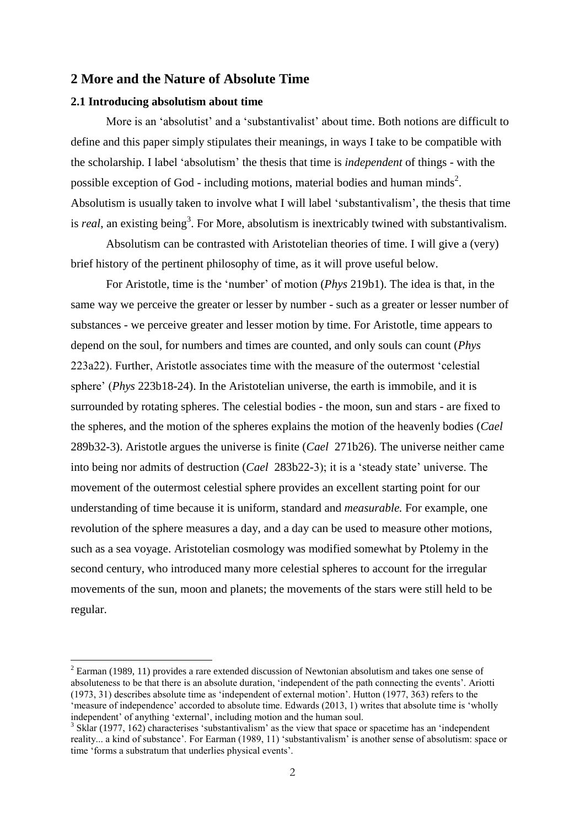### **2 More and the Nature of Absolute Time**

### **2.1 Introducing absolutism about time**

<u>.</u>

More is an 'absolutist' and a 'substantivalist' about time. Both notions are difficult to define and this paper simply stipulates their meanings, in ways I take to be compatible with the scholarship. I label 'absolutism' the thesis that time is *independent* of things - with the possible exception of God - including motions, material bodies and human minds<sup>2</sup>. Absolutism is usually taken to involve what I will label 'substantivalism', the thesis that time is *real*, an existing being<sup>3</sup>. For More, absolutism is inextricably twined with substantivalism.

Absolutism can be contrasted with Aristotelian theories of time. I will give a (very) brief history of the pertinent philosophy of time, as it will prove useful below.

For Aristotle, time is the 'number' of motion (*Phys* 219b1). The idea is that, in the same way we perceive the greater or lesser by number - such as a greater or lesser number of substances - we perceive greater and lesser motion by time. For Aristotle, time appears to depend on the soul, for numbers and times are counted, and only souls can count (*Phys*  223a22). Further, Aristotle associates time with the measure of the outermost 'celestial sphere' (*Phys* 223b18-24). In the Aristotelian universe, the earth is immobile, and it is surrounded by rotating spheres. The celestial bodies - the moon, sun and stars - are fixed to the spheres, and the motion of the spheres explains the motion of the heavenly bodies (*Cael*  289b32-3). Aristotle argues the universe is finite (*Cael* 271b26). The universe neither came into being nor admits of destruction (*Cael* 283b22-3); it is a 'steady state' universe. The movement of the outermost celestial sphere provides an excellent starting point for our understanding of time because it is uniform, standard and *measurable.* For example, one revolution of the sphere measures a day, and a day can be used to measure other motions, such as a sea voyage. Aristotelian cosmology was modified somewhat by Ptolemy in the second century, who introduced many more celestial spheres to account for the irregular movements of the sun, moon and planets; the movements of the stars were still held to be regular.

 $2$  Earman (1989, 11) provides a rare extended discussion of Newtonian absolutism and takes one sense of absoluteness to be that there is an absolute duration, 'independent of the path connecting the events'. Ariotti (1973, 31) describes absolute time as 'independent of external motion'. Hutton (1977, 363) refers to the 'measure of independence' accorded to absolute time. Edwards (2013, 1) writes that absolute time is 'wholly independent' of anything 'external', including motion and the human soul.

<sup>&</sup>lt;sup>3</sup> Sklar (1977, 162) characterises 'substantivalism' as the view that space or spacetime has an 'independent reality... a kind of substance'. For Earman (1989, 11) 'substantivalism' is another sense of absolutism: space or time 'forms a substratum that underlies physical events'.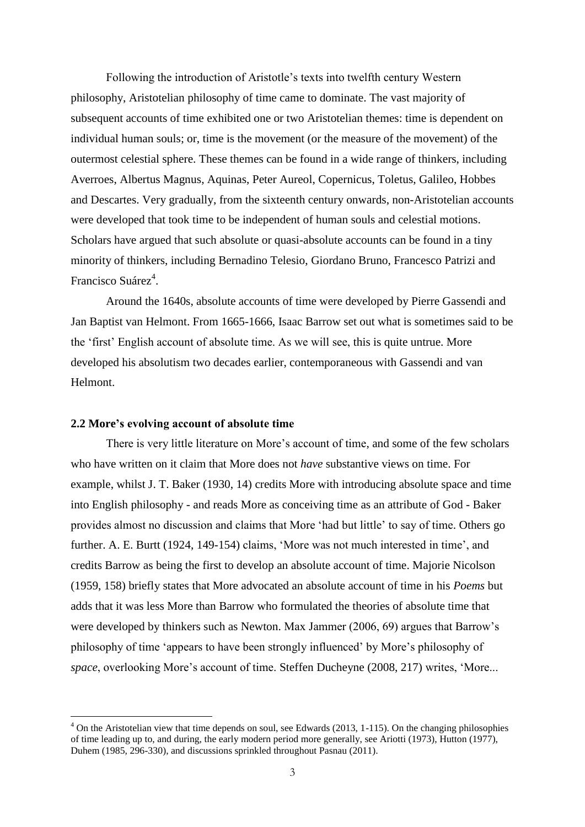Following the introduction of Aristotle's texts into twelfth century Western philosophy, Aristotelian philosophy of time came to dominate. The vast majority of subsequent accounts of time exhibited one or two Aristotelian themes: time is dependent on individual human souls; or, time is the movement (or the measure of the movement) of the outermost celestial sphere. These themes can be found in a wide range of thinkers, including Averroes, Albertus Magnus, Aquinas, Peter Aureol, Copernicus, Toletus, Galileo, Hobbes and Descartes. Very gradually, from the sixteenth century onwards, non-Aristotelian accounts were developed that took time to be independent of human souls and celestial motions. Scholars have argued that such absolute or quasi-absolute accounts can be found in a tiny minority of thinkers, including Bernadino Telesio, Giordano Bruno, Francesco Patrizi and Francisco Suárez<sup>4</sup>.

Around the 1640s, absolute accounts of time were developed by Pierre Gassendi and Jan Baptist van Helmont. From 1665-1666, Isaac Barrow set out what is sometimes said to be the 'first' English account of absolute time. As we will see, this is quite untrue. More developed his absolutism two decades earlier, contemporaneous with Gassendi and van Helmont.

### **2.2 More's evolving account of absolute time**

-

There is very little literature on More's account of time, and some of the few scholars who have written on it claim that More does not *have* substantive views on time. For example, whilst J. T. Baker (1930, 14) credits More with introducing absolute space and time into English philosophy - and reads More as conceiving time as an attribute of God - Baker provides almost no discussion and claims that More 'had but little' to say of time. Others go further. A. E. Burtt (1924, 149-154) claims, 'More was not much interested in time', and credits Barrow as being the first to develop an absolute account of time. Majorie Nicolson (1959, 158) briefly states that More advocated an absolute account of time in his *Poems* but adds that it was less More than Barrow who formulated the theories of absolute time that were developed by thinkers such as Newton. Max Jammer (2006, 69) argues that Barrow's philosophy of time 'appears to have been strongly influenced' by More's philosophy of *space*, overlooking More's account of time. Steffen Ducheyne (2008, 217) writes, 'More...

 $<sup>4</sup>$  On the Aristotelian view that time depends on soul, see Edwards (2013, 1-115). On the changing philosophies</sup> of time leading up to, and during, the early modern period more generally, see Ariotti (1973), Hutton (1977), Duhem (1985, 296-330), and discussions sprinkled throughout Pasnau (2011).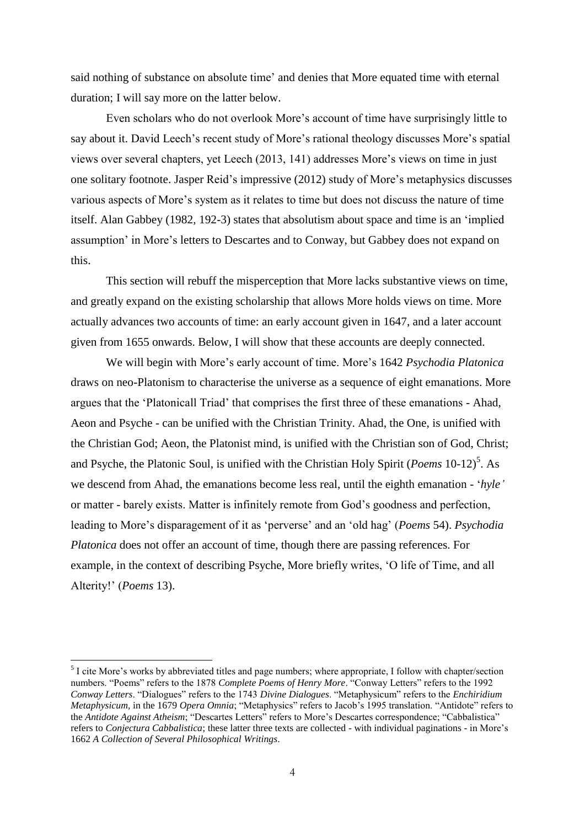said nothing of substance on absolute time' and denies that More equated time with eternal duration; I will say more on the latter below.

Even scholars who do not overlook More's account of time have surprisingly little to say about it. David Leech's recent study of More's rational theology discusses More's spatial views over several chapters, yet Leech (2013, 141) addresses More's views on time in just one solitary footnote. Jasper Reid's impressive (2012) study of More's metaphysics discusses various aspects of More's system as it relates to time but does not discuss the nature of time itself. Alan Gabbey (1982, 192-3) states that absolutism about space and time is an 'implied assumption' in More's letters to Descartes and to Conway, but Gabbey does not expand on this.

This section will rebuff the misperception that More lacks substantive views on time, and greatly expand on the existing scholarship that allows More holds views on time. More actually advances two accounts of time: an early account given in 1647, and a later account given from 1655 onwards. Below, I will show that these accounts are deeply connected.

We will begin with More's early account of time. More's 1642 *Psychodia Platonica* draws on neo-Platonism to characterise the universe as a sequence of eight emanations. More argues that the 'Platonicall Triad' that comprises the first three of these emanations - Ahad, Aeon and Psyche - can be unified with the Christian Trinity. Ahad, the One, is unified with the Christian God; Aeon, the Platonist mind, is unified with the Christian son of God, Christ; and Psyche, the Platonic Soul, is unified with the Christian Holy Spirit (*Poems* 10-12)<sup>5</sup>. As we descend from Ahad, the emanations become less real, until the eighth emanation - '*hyle'* or matter - barely exists. Matter is infinitely remote from God's goodness and perfection, leading to More's disparagement of it as 'perverse' and an 'old hag' (*Poems* 54). *Psychodia Platonica* does not offer an account of time, though there are passing references. For example, in the context of describing Psyche, More briefly writes, 'O life of Time, and all Alterity!' (*Poems* 13).

<sup>&</sup>lt;sup>5</sup> I cite More's works by abbreviated titles and page numbers; where appropriate, I follow with chapter/section numbers. "Poems" refers to the 1878 *Complete Poems of Henry More*. "Conway Letters" refers to the 1992 *Conway Letters*. "Dialogues" refers to the 1743 *Divine Dialogues*. "Metaphysicum" refers to the *Enchiridium Metaphysicum,* in the 1679 *Opera Omnia*; "Metaphysics" refers to Jacob's 1995 translation. "Antidote" refers to the *Antidote Against Atheism*; "Descartes Letters" refers to More's Descartes correspondence; "Cabbalistica" refers to *Conjectura Cabbalistica*; these latter three texts are collected - with individual paginations - in More's 1662 *A Collection of Several Philosophical Writings*.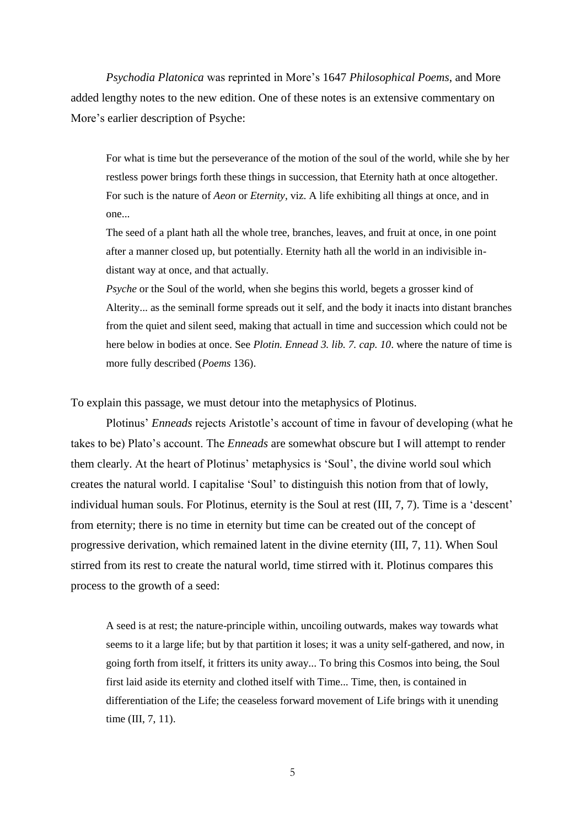*Psychodia Platonica* was reprinted in More's 1647 *Philosophical Poems*, and More added lengthy notes to the new edition. One of these notes is an extensive commentary on More's earlier description of Psyche:

For what is time but the perseverance of the motion of the soul of the world, while she by her restless power brings forth these things in succession, that Eternity hath at once altogether. For such is the nature of *Aeon* or *Eternity*, viz. A life exhibiting all things at once, and in one...

The seed of a plant hath all the whole tree, branches, leaves, and fruit at once, in one point after a manner closed up, but potentially. Eternity hath all the world in an indivisible indistant way at once, and that actually.

*Psyche* or the Soul of the world, when she begins this world, begets a grosser kind of Alterity... as the seminall forme spreads out it self, and the body it inacts into distant branches from the quiet and silent seed, making that actuall in time and succession which could not be here below in bodies at once. See *Plotin. Ennead 3. lib. 7. cap. 10*. where the nature of time is more fully described (*Poems* 136).

To explain this passage, we must detour into the metaphysics of Plotinus.

Plotinus' *Enneads* rejects Aristotle's account of time in favour of developing (what he takes to be) Plato's account. The *Enneads* are somewhat obscure but I will attempt to render them clearly. At the heart of Plotinus' metaphysics is 'Soul', the divine world soul which creates the natural world. I capitalise 'Soul' to distinguish this notion from that of lowly, individual human souls. For Plotinus, eternity is the Soul at rest (III, 7, 7). Time is a 'descent' from eternity; there is no time in eternity but time can be created out of the concept of progressive derivation, which remained latent in the divine eternity (III, 7, 11). When Soul stirred from its rest to create the natural world, time stirred with it. Plotinus compares this process to the growth of a seed:

A seed is at rest; the nature-principle within, uncoiling outwards, makes way towards what seems to it a large life; but by that partition it loses; it was a unity self-gathered, and now, in going forth from itself, it fritters its unity away... To bring this Cosmos into being, the Soul first laid aside its eternity and clothed itself with Time... Time, then, is contained in differentiation of the Life; the ceaseless forward movement of Life brings with it unending time (III, 7, 11).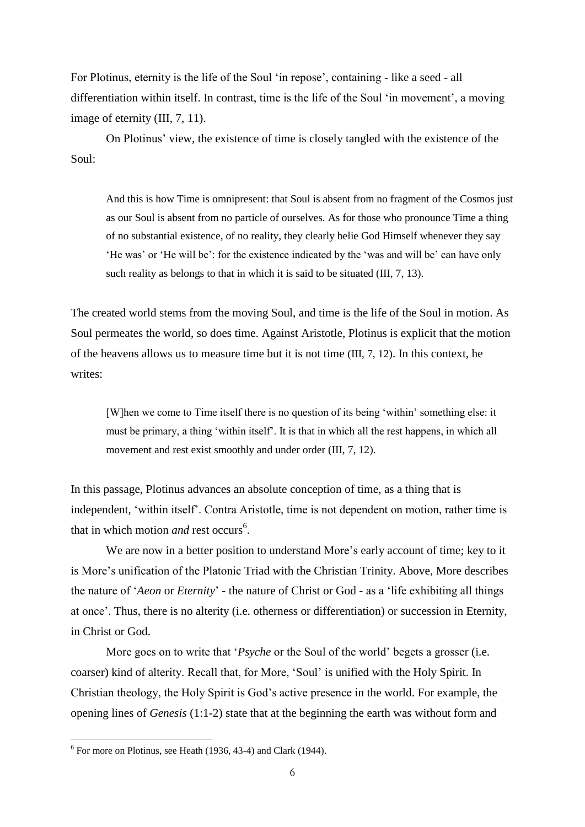For Plotinus, eternity is the life of the Soul 'in repose', containing - like a seed - all differentiation within itself. In contrast, time is the life of the Soul 'in movement', a moving image of eternity (III, 7, 11).

On Plotinus' view, the existence of time is closely tangled with the existence of the Soul:

And this is how Time is omnipresent: that Soul is absent from no fragment of the Cosmos just as our Soul is absent from no particle of ourselves. As for those who pronounce Time a thing of no substantial existence, of no reality, they clearly belie God Himself whenever they say 'He was' or 'He will be': for the existence indicated by the 'was and will be' can have only such reality as belongs to that in which it is said to be situated (III, 7, 13).

The created world stems from the moving Soul, and time is the life of the Soul in motion. As Soul permeates the world, so does time. Against Aristotle, Plotinus is explicit that the motion of the heavens allows us to measure time but it is not time (III, 7, 12). In this context, he writes:

[W]hen we come to Time itself there is no question of its being 'within' something else: it must be primary, a thing 'within itself'. It is that in which all the rest happens, in which all movement and rest exist smoothly and under order (III, 7, 12).

In this passage, Plotinus advances an absolute conception of time, as a thing that is independent, 'within itself'. Contra Aristotle, time is not dependent on motion, rather time is that in which motion *and* rest occurs<sup>6</sup>.

We are now in a better position to understand More's early account of time; key to it is More's unification of the Platonic Triad with the Christian Trinity. Above, More describes the nature of '*Aeon* or *Eternity*' - the nature of Christ or God - as a 'life exhibiting all things at once'. Thus, there is no alterity (i.e. otherness or differentiation) or succession in Eternity, in Christ or God.

More goes on to write that '*Psyche* or the Soul of the world' begets a grosser (i.e. coarser) kind of alterity. Recall that, for More, 'Soul' is unified with the Holy Spirit. In Christian theology, the Holy Spirit is God's active presence in the world. For example, the opening lines of *Genesis* (1:1-2) state that at the beginning the earth was without form and

For more on Plotinus, see Heath (1936, 43-4) and Clark (1944).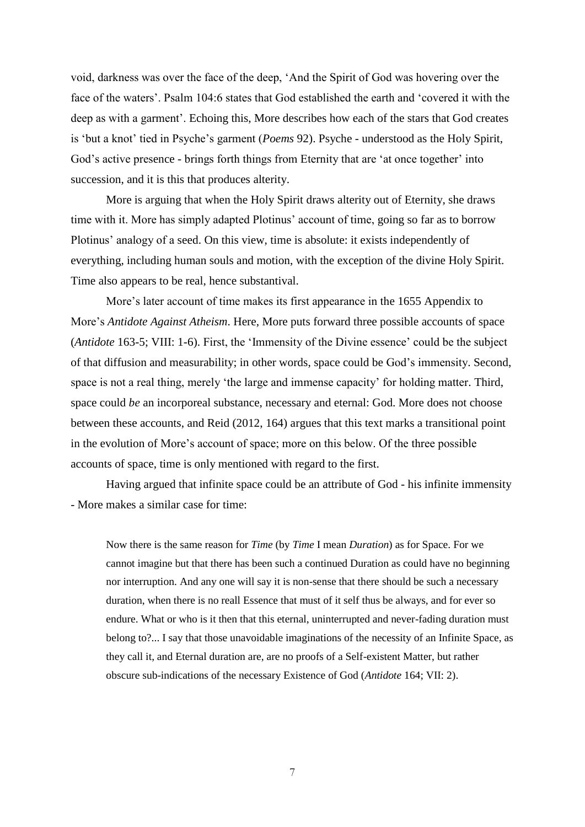void, darkness was over the face of the deep, 'And the Spirit of God was hovering over the face of the waters'. Psalm 104:6 states that God established the earth and 'covered it with the deep as with a garment'. Echoing this, More describes how each of the stars that God creates is 'but a knot' tied in Psyche's garment (*Poems* 92). Psyche - understood as the Holy Spirit, God's active presence - brings forth things from Eternity that are 'at once together' into succession, and it is this that produces alterity.

More is arguing that when the Holy Spirit draws alterity out of Eternity, she draws time with it. More has simply adapted Plotinus' account of time, going so far as to borrow Plotinus' analogy of a seed. On this view, time is absolute: it exists independently of everything, including human souls and motion, with the exception of the divine Holy Spirit. Time also appears to be real, hence substantival.

More's later account of time makes its first appearance in the 1655 Appendix to More's *Antidote Against Atheism*. Here, More puts forward three possible accounts of space (*Antidote* 163-5; VIII: 1-6). First, the 'Immensity of the Divine essence' could be the subject of that diffusion and measurability; in other words, space could be God's immensity. Second, space is not a real thing, merely 'the large and immense capacity' for holding matter. Third, space could *be* an incorporeal substance, necessary and eternal: God. More does not choose between these accounts, and Reid (2012, 164) argues that this text marks a transitional point in the evolution of More's account of space; more on this below. Of the three possible accounts of space, time is only mentioned with regard to the first.

Having argued that infinite space could be an attribute of God - his infinite immensity - More makes a similar case for time:

Now there is the same reason for *Time* (by *Time* I mean *Duration*) as for Space. For we cannot imagine but that there has been such a continued Duration as could have no beginning nor interruption. And any one will say it is non-sense that there should be such a necessary duration, when there is no reall Essence that must of it self thus be always, and for ever so endure. What or who is it then that this eternal, uninterrupted and never-fading duration must belong to?... I say that those unavoidable imaginations of the necessity of an Infinite Space, as they call it, and Eternal duration are, are no proofs of a Self-existent Matter, but rather obscure sub-indications of the necessary Existence of God (*Antidote* 164; VII: 2).

7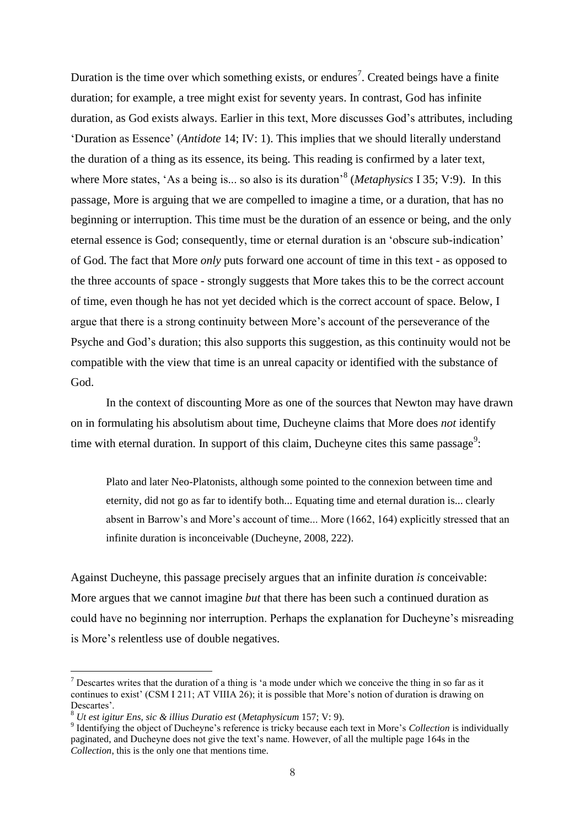Duration is the time over which something exists, or endures<sup>7</sup>. Created beings have a finite duration; for example, a tree might exist for seventy years. In contrast, God has infinite duration, as God exists always. Earlier in this text, More discusses God's attributes, including 'Duration as Essence' (*Antidote* 14; IV: 1). This implies that we should literally understand the duration of a thing as its essence, its being. This reading is confirmed by a later text, where More states, 'As a being is... so also is its duration'<sup>8</sup> (*Metaphysics* I 35; V:9). In this passage, More is arguing that we are compelled to imagine a time, or a duration, that has no beginning or interruption. This time must be the duration of an essence or being, and the only eternal essence is God; consequently, time or eternal duration is an 'obscure sub-indication' of God. The fact that More *only* puts forward one account of time in this text - as opposed to the three accounts of space - strongly suggests that More takes this to be the correct account of time, even though he has not yet decided which is the correct account of space. Below, I argue that there is a strong continuity between More's account of the perseverance of the Psyche and God's duration; this also supports this suggestion, as this continuity would not be compatible with the view that time is an unreal capacity or identified with the substance of God.

In the context of discounting More as one of the sources that Newton may have drawn on in formulating his absolutism about time, Ducheyne claims that More does *not* identify time with eternal duration. In support of this claim, Ducheyne cites this same passage<sup>9</sup>:

Plato and later Neo-Platonists, although some pointed to the connexion between time and eternity, did not go as far to identify both... Equating time and eternal duration is... clearly absent in Barrow's and More's account of time... More (1662, 164) explicitly stressed that an infinite duration is inconceivable (Ducheyne, 2008, 222).

Against Ducheyne, this passage precisely argues that an infinite duration *is* conceivable: More argues that we cannot imagine *but* that there has been such a continued duration as could have no beginning nor interruption. Perhaps the explanation for Ducheyne's misreading is More's relentless use of double negatives.

<sup>&</sup>lt;sup>7</sup> Descartes writes that the duration of a thing is 'a mode under which we conceive the thing in so far as it continues to exist' (CSM I 211; AT VIIIA 26); it is possible that More's notion of duration is drawing on Descartes'.

<sup>8</sup> *Ut est igitur Ens, sic & illius Duratio est* (*Metaphysicum* 157; V: 9).

<sup>9</sup> Identifying the object of Ducheyne's reference is tricky because each text in More's *Collection* is individually paginated, and Ducheyne does not give the text's name. However, of all the multiple page 164s in the *Collection*, this is the only one that mentions time*.*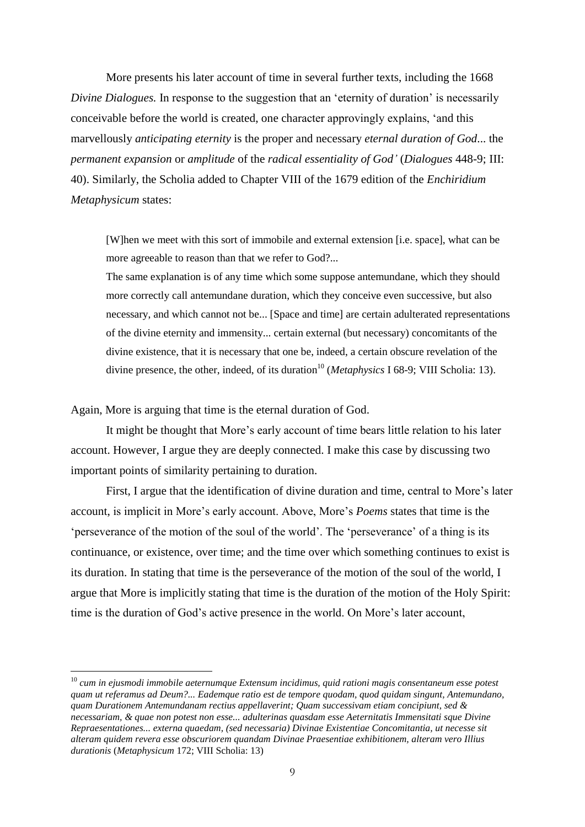More presents his later account of time in several further texts, including the 1668 *Divine Dialogues.* In response to the suggestion that an 'eternity of duration' is necessarily conceivable before the world is created, one character approvingly explains, 'and this marvellously *anticipating eternity* is the proper and necessary *eternal duration of God*... the *permanent expansion* or *amplitude* of the *radical essentiality of God'* (*Dialogues* 448-9; III: 40). Similarly, the Scholia added to Chapter VIII of the 1679 edition of the *Enchiridium Metaphysicum* states:

[W]hen we meet with this sort of immobile and external extension [i.e. space], what can be more agreeable to reason than that we refer to God?...

The same explanation is of any time which some suppose antemundane, which they should more correctly call antemundane duration, which they conceive even successive, but also necessary, and which cannot not be... [Space and time] are certain adulterated representations of the divine eternity and immensity... certain external (but necessary) concomitants of the divine existence, that it is necessary that one be, indeed, a certain obscure revelation of the divine presence, the other, indeed, of its duration<sup>10</sup> (*Metaphysics* I 68-9; VIII Scholia: 13).

Again, More is arguing that time is the eternal duration of God.

<u>.</u>

It might be thought that More's early account of time bears little relation to his later account. However, I argue they are deeply connected. I make this case by discussing two important points of similarity pertaining to duration.

First, I argue that the identification of divine duration and time, central to More's later account, is implicit in More's early account. Above, More's *Poems* states that time is the 'perseverance of the motion of the soul of the world'. The 'perseverance' of a thing is its continuance, or existence, over time; and the time over which something continues to exist is its duration. In stating that time is the perseverance of the motion of the soul of the world, I argue that More is implicitly stating that time is the duration of the motion of the Holy Spirit: time is the duration of God's active presence in the world. On More's later account,

<sup>10</sup> *cum in ejusmodi immobile aeternumque Extensum incidimus, quid rationi magis consentaneum esse potest quam ut referamus ad Deum?... Eademque ratio est de tempore quodam, quod quidam singunt, Antemundano, quam Durationem Antemundanam rectius appellaverint; Quam successivam etiam concipiunt, sed & necessariam, & quae non potest non esse... adulterinas quasdam esse Aeternitatis Immensitati sque Divine Repraesentationes... externa quaedam, (sed necessaria) Divinae Existentiae Concomitantia, ut necesse sit alteram quidem revera esse obscuriorem quandam Divinae Praesentiae exhibitionem, alteram vero Illius durationis* (*Metaphysicum* 172; VIII Scholia: 13)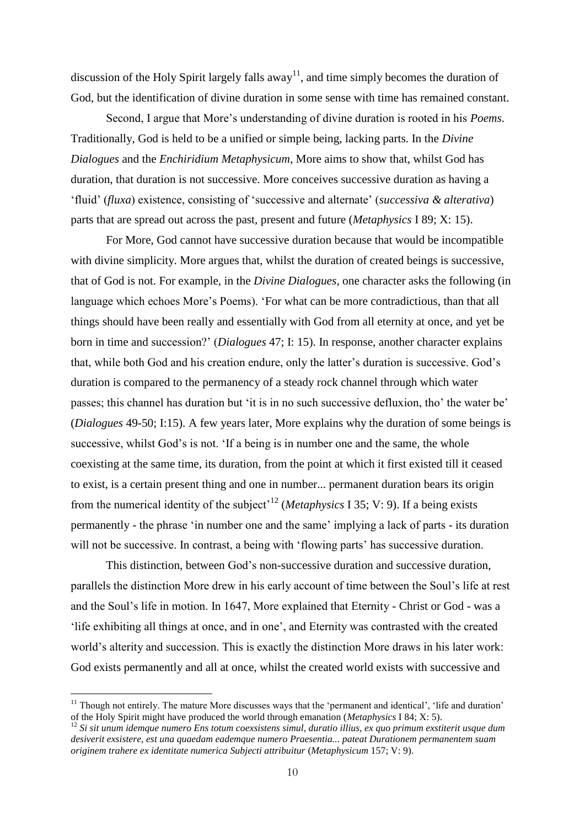discussion of the Holy Spirit largely falls away<sup>11</sup>, and time simply becomes the duration of God, but the identification of divine duration in some sense with time has remained constant.

Second, I argue that More's understanding of divine duration is rooted in his *Poems*. Traditionally, God is held to be a unified or simple being, lacking parts. In the *Divine Dialogues* and the *Enchiridium Metaphysicum*, More aims to show that, whilst God has duration, that duration is not successive. More conceives successive duration as having a 'fluid' (*fluxa*) existence, consisting of 'successive and alternate' (*successiva & alterativa*) parts that are spread out across the past, present and future (*Metaphysics* I 89; X: 15).

For More, God cannot have successive duration because that would be incompatible with divine simplicity. More argues that, whilst the duration of created beings is successive, that of God is not. For example, in the *Divine Dialogues*, one character asks the following (in language which echoes More's Poems). 'For what can be more contradictious, than that all things should have been really and essentially with God from all eternity at once, and yet be born in time and succession?' (*Dialogues* 47; I: 15). In response, another character explains that, while both God and his creation endure, only the latter's duration is successive. God's duration is compared to the permanency of a steady rock channel through which water passes; this channel has duration but 'it is in no such successive defluxion, tho' the water be' (*Dialogues* 49-50; I:15). A few years later, More explains why the duration of some beings is successive, whilst God's is not. 'If a being is in number one and the same, the whole coexisting at the same time, its duration, from the point at which it first existed till it ceased to exist, is a certain present thing and one in number... permanent duration bears its origin from the numerical identity of the subject<sup> $12$ </sup> (*Metaphysics* I 35; V: 9). If a being exists permanently - the phrase 'in number one and the same' implying a lack of parts - its duration will not be successive. In contrast, a being with 'flowing parts' has successive duration.

This distinction, between God's non-successive duration and successive duration, parallels the distinction More drew in his early account of time between the Soul's life at rest and the Soul's life in motion. In 1647, More explained that Eternity - Christ or God - was a 'life exhibiting all things at once, and in one', and Eternity was contrasted with the created world's alterity and succession. This is exactly the distinction More draws in his later work: God exists permanently and all at once, whilst the created world exists with successive and

<sup>&</sup>lt;sup>11</sup> Though not entirely. The mature More discusses ways that the 'permanent and identical', 'life and duration' of the Holy Spirit might have produced the world through emanation (*Metaphysics* I 84; X: 5).

<sup>12</sup> *Si sit unum idemque numero Ens totum coexsistens simul, duratio illius, ex quo primum exstiterit usque dum desiverit exsistere, est una quaedam eademque numero Praesentia... pateat Durationem permanentem suam originem trahere ex identitate numerica Subjecti attribuitur* (*Metaphysicum* 157; V: 9).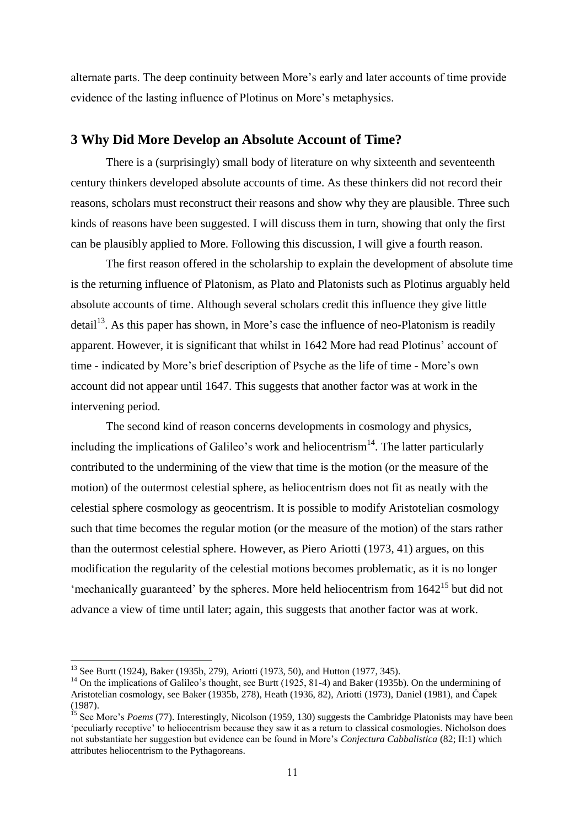alternate parts. The deep continuity between More's early and later accounts of time provide evidence of the lasting influence of Plotinus on More's metaphysics.

# **3 Why Did More Develop an Absolute Account of Time?**

There is a (surprisingly) small body of literature on why sixteenth and seventeenth century thinkers developed absolute accounts of time. As these thinkers did not record their reasons, scholars must reconstruct their reasons and show why they are plausible. Three such kinds of reasons have been suggested. I will discuss them in turn, showing that only the first can be plausibly applied to More. Following this discussion, I will give a fourth reason.

The first reason offered in the scholarship to explain the development of absolute time is the returning influence of Platonism, as Plato and Platonists such as Plotinus arguably held absolute accounts of time. Although several scholars credit this influence they give little  $\delta$  detail<sup>13</sup>. As this paper has shown, in More's case the influence of neo-Platonism is readily apparent. However, it is significant that whilst in 1642 More had read Plotinus' account of time - indicated by More's brief description of Psyche as the life of time - More's own account did not appear until 1647. This suggests that another factor was at work in the intervening period.

The second kind of reason concerns developments in cosmology and physics, including the implications of Galileo's work and heliocentrism<sup>14</sup>. The latter particularly contributed to the undermining of the view that time is the motion (or the measure of the motion) of the outermost celestial sphere, as heliocentrism does not fit as neatly with the celestial sphere cosmology as geocentrism. It is possible to modify Aristotelian cosmology such that time becomes the regular motion (or the measure of the motion) of the stars rather than the outermost celestial sphere. However, as Piero Ariotti (1973, 41) argues, on this modification the regularity of the celestial motions becomes problematic, as it is no longer 'mechanically guaranteed' by the spheres. More held heliocentrism from  $1642^{15}$  but did not advance a view of time until later; again, this suggests that another factor was at work.

<sup>&</sup>lt;sup>13</sup> See Burtt (1924), Baker (1935b, 279), Ariotti (1973, 50), and Hutton (1977, 345).

<sup>&</sup>lt;sup>14</sup> On the implications of Galileo's thought, see Burtt (1925, 81-4) and Baker (1935b). On the undermining of Aristotelian cosmology, see Baker (1935b, 278), Heath (1936, 82), Ariotti (1973), Daniel (1981), and Čapek (1987).

<sup>&</sup>lt;sup>15</sup> See More's *Poems* (77). Interestingly, Nicolson (1959, 130) suggests the Cambridge Platonists may have been 'peculiarly receptive' to heliocentrism because they saw it as a return to classical cosmologies. Nicholson does not substantiate her suggestion but evidence can be found in More's *Conjectura Cabbalistica* (82; II:1) which attributes heliocentrism to the Pythagoreans.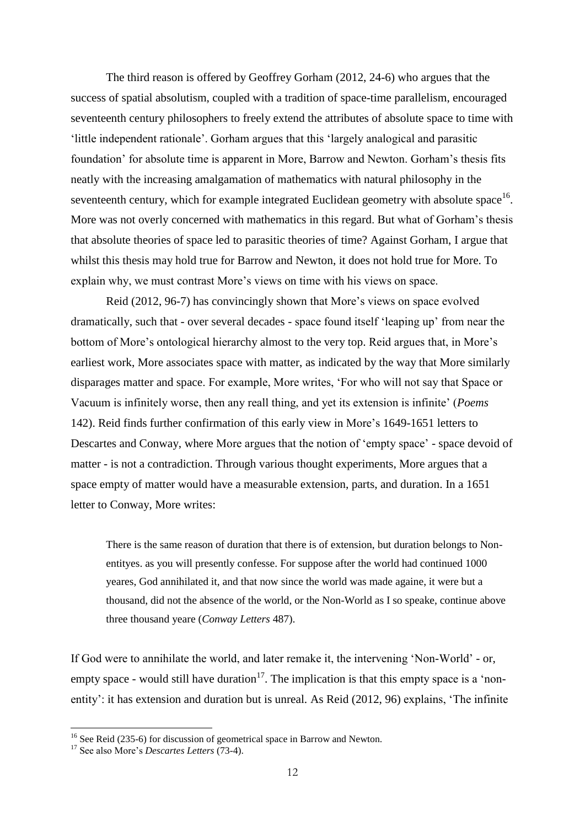The third reason is offered by Geoffrey Gorham (2012, 24-6) who argues that the success of spatial absolutism, coupled with a tradition of space-time parallelism, encouraged seventeenth century philosophers to freely extend the attributes of absolute space to time with 'little independent rationale'. Gorham argues that this 'largely analogical and parasitic foundation' for absolute time is apparent in More, Barrow and Newton. Gorham's thesis fits neatly with the increasing amalgamation of mathematics with natural philosophy in the seventeenth century, which for example integrated Euclidean geometry with absolute space  $16$ . More was not overly concerned with mathematics in this regard. But what of Gorham's thesis that absolute theories of space led to parasitic theories of time? Against Gorham, I argue that whilst this thesis may hold true for Barrow and Newton, it does not hold true for More. To explain why, we must contrast More's views on time with his views on space.

Reid (2012, 96-7) has convincingly shown that More's views on space evolved dramatically, such that - over several decades - space found itself 'leaping up' from near the bottom of More's ontological hierarchy almost to the very top. Reid argues that, in More's earliest work, More associates space with matter, as indicated by the way that More similarly disparages matter and space. For example, More writes, 'For who will not say that Space or Vacuum is infinitely worse, then any reall thing, and yet its extension is infinite' (*Poems* 142). Reid finds further confirmation of this early view in More's 1649-1651 letters to Descartes and Conway, where More argues that the notion of 'empty space' - space devoid of matter - is not a contradiction. Through various thought experiments, More argues that a space empty of matter would have a measurable extension, parts, and duration. In a 1651 letter to Conway, More writes:

There is the same reason of duration that there is of extension, but duration belongs to Nonentityes. as you will presently confesse. For suppose after the world had continued 1000 yeares, God annihilated it, and that now since the world was made againe, it were but a thousand, did not the absence of the world, or the Non-World as I so speake, continue above three thousand yeare (*Conway Letters* 487).

If God were to annihilate the world, and later remake it, the intervening 'Non-World' - or, empty space - would still have duration<sup>17</sup>. The implication is that this empty space is a 'nonentity': it has extension and duration but is unreal. As Reid (2012, 96) explains, 'The infinite

 $16$  See Reid (235-6) for discussion of geometrical space in Barrow and Newton.

<sup>17</sup> See also More's *Descartes Letters* (73-4).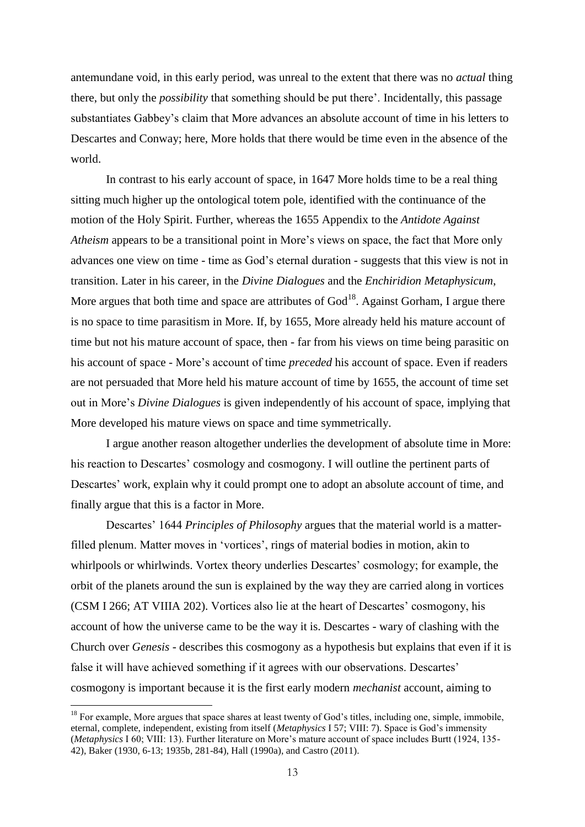antemundane void, in this early period, was unreal to the extent that there was no *actual* thing there, but only the *possibility* that something should be put there'. Incidentally, this passage substantiates Gabbey's claim that More advances an absolute account of time in his letters to Descartes and Conway; here, More holds that there would be time even in the absence of the world.

In contrast to his early account of space, in 1647 More holds time to be a real thing sitting much higher up the ontological totem pole, identified with the continuance of the motion of the Holy Spirit. Further, whereas the 1655 Appendix to the *Antidote Against Atheism* appears to be a transitional point in More's views on space, the fact that More only advances one view on time - time as God's eternal duration - suggests that this view is not in transition. Later in his career, in the *Divine Dialogues* and the *Enchiridion Metaphysicum*, More argues that both time and space are attributes of  $God<sup>18</sup>$ . Against Gorham, I argue there is no space to time parasitism in More. If, by 1655, More already held his mature account of time but not his mature account of space, then - far from his views on time being parasitic on his account of space - More's account of time *preceded* his account of space. Even if readers are not persuaded that More held his mature account of time by 1655, the account of time set out in More's *Divine Dialogues* is given independently of his account of space, implying that More developed his mature views on space and time symmetrically.

I argue another reason altogether underlies the development of absolute time in More: his reaction to Descartes' cosmology and cosmogony. I will outline the pertinent parts of Descartes' work, explain why it could prompt one to adopt an absolute account of time, and finally argue that this is a factor in More.

Descartes' 1644 *Principles of Philosophy* argues that the material world is a matterfilled plenum. Matter moves in 'vortices', rings of material bodies in motion, akin to whirlpools or whirlwinds. Vortex theory underlies Descartes' cosmology; for example, the orbit of the planets around the sun is explained by the way they are carried along in vortices (CSM I 266; AT VIIIA 202). Vortices also lie at the heart of Descartes' cosmogony, his account of how the universe came to be the way it is. Descartes - wary of clashing with the Church over *Genesis* - describes this cosmogony as a hypothesis but explains that even if it is false it will have achieved something if it agrees with our observations. Descartes' cosmogony is important because it is the first early modern *mechanist* account, aiming to

-

 $18$  For example, More argues that space shares at least twenty of God's titles, including one, simple, immobile, eternal, complete, independent, existing from itself (*Metaphysics* I 57; VIII: 7). Space is God's immensity (*Metaphysics* I 60; VIII: 13). Further literature on More's mature account of space includes Burtt (1924, 135- 42), Baker (1930, 6-13; 1935b, 281-84), Hall (1990a), and Castro (2011).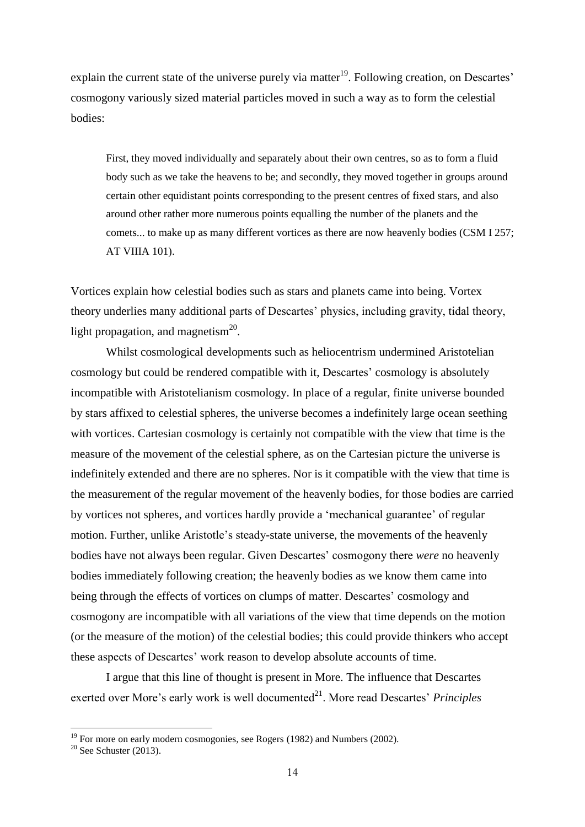explain the current state of the universe purely via matter<sup>19</sup>. Following creation, on Descartes' cosmogony variously sized material particles moved in such a way as to form the celestial bodies:

First, they moved individually and separately about their own centres, so as to form a fluid body such as we take the heavens to be; and secondly, they moved together in groups around certain other equidistant points corresponding to the present centres of fixed stars, and also around other rather more numerous points equalling the number of the planets and the comets... to make up as many different vortices as there are now heavenly bodies (CSM I 257; AT VIIIA 101).

Vortices explain how celestial bodies such as stars and planets came into being. Vortex theory underlies many additional parts of Descartes' physics, including gravity, tidal theory, light propagation, and magnetism $^{20}$ .

Whilst cosmological developments such as heliocentrism undermined Aristotelian cosmology but could be rendered compatible with it, Descartes' cosmology is absolutely incompatible with Aristotelianism cosmology. In place of a regular, finite universe bounded by stars affixed to celestial spheres, the universe becomes a indefinitely large ocean seething with vortices. Cartesian cosmology is certainly not compatible with the view that time is the measure of the movement of the celestial sphere, as on the Cartesian picture the universe is indefinitely extended and there are no spheres. Nor is it compatible with the view that time is the measurement of the regular movement of the heavenly bodies, for those bodies are carried by vortices not spheres, and vortices hardly provide a 'mechanical guarantee' of regular motion. Further, unlike Aristotle's steady-state universe, the movements of the heavenly bodies have not always been regular. Given Descartes' cosmogony there *were* no heavenly bodies immediately following creation; the heavenly bodies as we know them came into being through the effects of vortices on clumps of matter. Descartes' cosmology and cosmogony are incompatible with all variations of the view that time depends on the motion (or the measure of the motion) of the celestial bodies; this could provide thinkers who accept these aspects of Descartes' work reason to develop absolute accounts of time.

I argue that this line of thought is present in More. The influence that Descartes exerted over More's early work is well documented<sup>21</sup>. More read Descartes' *Principles* 

 $19$  For more on early modern cosmogonies, see Rogers (1982) and Numbers (2002).

 $20$  See Schuster (2013).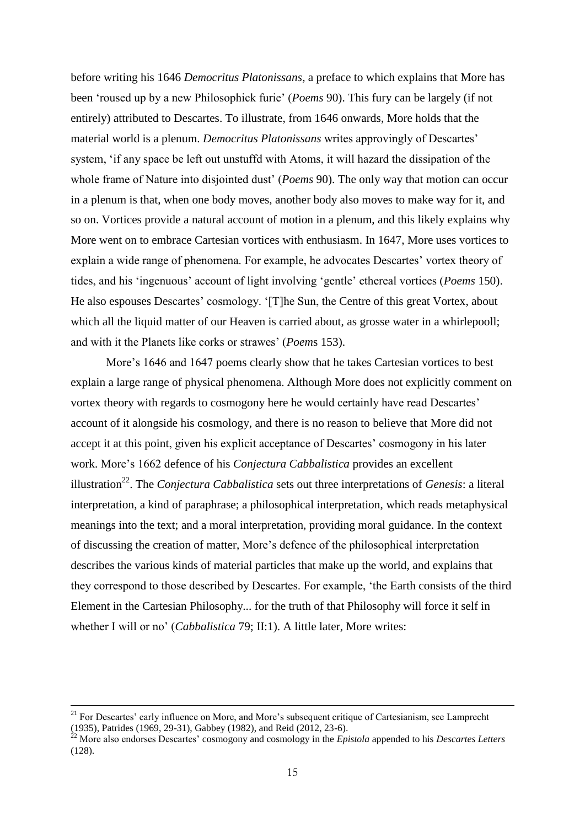before writing his 1646 *Democritus Platonissans,* a preface to which explains that More has been 'roused up by a new Philosophick furie' (*Poems* 90). This fury can be largely (if not entirely) attributed to Descartes. To illustrate, from 1646 onwards, More holds that the material world is a plenum. *Democritus Platonissans* writes approvingly of Descartes' system, 'if any space be left out unstuffd with Atoms, it will hazard the dissipation of the whole frame of Nature into disjointed dust' (*Poems* 90). The only way that motion can occur in a plenum is that, when one body moves, another body also moves to make way for it, and so on. Vortices provide a natural account of motion in a plenum, and this likely explains why More went on to embrace Cartesian vortices with enthusiasm. In 1647, More uses vortices to explain a wide range of phenomena. For example, he advocates Descartes' vortex theory of tides, and his 'ingenuous' account of light involving 'gentle' ethereal vortices (*Poems* 150). He also espouses Descartes' cosmology. '[T]he Sun, the Centre of this great Vortex, about which all the liquid matter of our Heaven is carried about, as grosse water in a whirlepooll; and with it the Planets like corks or strawes' (*Poem*s 153).

More's 1646 and 1647 poems clearly show that he takes Cartesian vortices to best explain a large range of physical phenomena. Although More does not explicitly comment on vortex theory with regards to cosmogony here he would certainly have read Descartes' account of it alongside his cosmology, and there is no reason to believe that More did not accept it at this point, given his explicit acceptance of Descartes' cosmogony in his later work. More's 1662 defence of his *Conjectura Cabbalistica* provides an excellent illustration<sup>22</sup>. The *Conjectura Cabbalistica* sets out three interpretations of *Genesis*: a literal interpretation, a kind of paraphrase; a philosophical interpretation, which reads metaphysical meanings into the text; and a moral interpretation, providing moral guidance. In the context of discussing the creation of matter, More's defence of the philosophical interpretation describes the various kinds of material particles that make up the world, and explains that they correspond to those described by Descartes. For example, 'the Earth consists of the third Element in the Cartesian Philosophy... for the truth of that Philosophy will force it self in whether I will or no' (*Cabbalistica* 79; II:1). A little later, More writes:

-

 $21$  For Descartes' early influence on More, and More's subsequent critique of Cartesianism, see Lamprecht (1935), Patrides (1969, 29-31), Gabbey (1982), and Reid (2012, 23-6).

<sup>22</sup> More also endorses Descartes' cosmogony and cosmology in the *Epistola* appended to his *Descartes Letters* (128).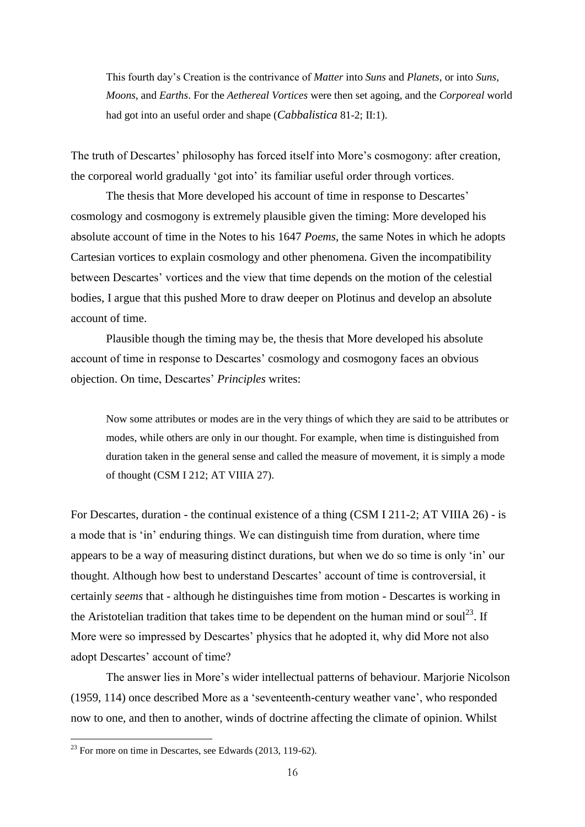This fourth day's Creation is the contrivance of *Matter* into *Suns* and *Planets*, or into *Suns*, *Moons*, and *Earths*. For the *Aethereal Vortices* were then set agoing, and the *Corporeal* world had got into an useful order and shape (*Cabbalistica* 81-2; II:1).

The truth of Descartes' philosophy has forced itself into More's cosmogony: after creation, the corporeal world gradually 'got into' its familiar useful order through vortices.

The thesis that More developed his account of time in response to Descartes' cosmology and cosmogony is extremely plausible given the timing: More developed his absolute account of time in the Notes to his 1647 *Poems*, the same Notes in which he adopts Cartesian vortices to explain cosmology and other phenomena. Given the incompatibility between Descartes' vortices and the view that time depends on the motion of the celestial bodies, I argue that this pushed More to draw deeper on Plotinus and develop an absolute account of time.

Plausible though the timing may be, the thesis that More developed his absolute account of time in response to Descartes' cosmology and cosmogony faces an obvious objection. On time, Descartes' *Principles* writes:

Now some attributes or modes are in the very things of which they are said to be attributes or modes, while others are only in our thought. For example, when time is distinguished from duration taken in the general sense and called the measure of movement, it is simply a mode of thought (CSM I 212; AT VIIIA 27).

For Descartes, duration - the continual existence of a thing (CSM I 211-2; AT VIIIA 26) - is a mode that is 'in' enduring things. We can distinguish time from duration, where time appears to be a way of measuring distinct durations, but when we do so time is only 'in' our thought. Although how best to understand Descartes' account of time is controversial, it certainly *seems* that - although he distinguishes time from motion - Descartes is working in the Aristotelian tradition that takes time to be dependent on the human mind or soul<sup>23</sup>. If More were so impressed by Descartes' physics that he adopted it, why did More not also adopt Descartes' account of time?

 The answer lies in More's wider intellectual patterns of behaviour. Marjorie Nicolson (1959, 114) once described More as a 'seventeenth-century weather vane', who responded now to one, and then to another, winds of doctrine affecting the climate of opinion. Whilst

 $2<sup>23</sup>$  For more on time in Descartes, see Edwards (2013, 119-62).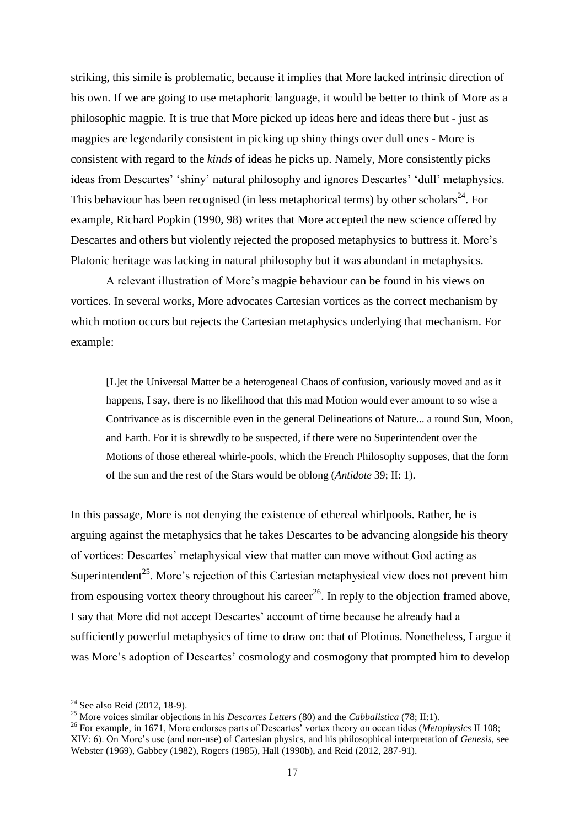striking, this simile is problematic, because it implies that More lacked intrinsic direction of his own. If we are going to use metaphoric language, it would be better to think of More as a philosophic magpie. It is true that More picked up ideas here and ideas there but - just as magpies are legendarily consistent in picking up shiny things over dull ones - More is consistent with regard to the *kinds* of ideas he picks up. Namely, More consistently picks ideas from Descartes' 'shiny' natural philosophy and ignores Descartes' 'dull' metaphysics. This behaviour has been recognised (in less metaphorical terms) by other scholars<sup>24</sup>. For example, Richard Popkin (1990, 98) writes that More accepted the new science offered by Descartes and others but violently rejected the proposed metaphysics to buttress it. More's Platonic heritage was lacking in natural philosophy but it was abundant in metaphysics.

A relevant illustration of More's magpie behaviour can be found in his views on vortices. In several works, More advocates Cartesian vortices as the correct mechanism by which motion occurs but rejects the Cartesian metaphysics underlying that mechanism. For example:

[L]et the Universal Matter be a heterogeneal Chaos of confusion, variously moved and as it happens, I say, there is no likelihood that this mad Motion would ever amount to so wise a Contrivance as is discernible even in the general Delineations of Nature... a round Sun, Moon, and Earth. For it is shrewdly to be suspected, if there were no Superintendent over the Motions of those ethereal whirle-pools, which the French Philosophy supposes, that the form of the sun and the rest of the Stars would be oblong (*Antidote* 39; II: 1).

In this passage, More is not denying the existence of ethereal whirlpools. Rather, he is arguing against the metaphysics that he takes Descartes to be advancing alongside his theory of vortices: Descartes' metaphysical view that matter can move without God acting as Superintendent<sup>25</sup>. More's rejection of this Cartesian metaphysical view does not prevent him from espousing vortex theory throughout his career<sup>26</sup>. In reply to the objection framed above, I say that More did not accept Descartes' account of time because he already had a sufficiently powerful metaphysics of time to draw on: that of Plotinus. Nonetheless, I argue it was More's adoption of Descartes' cosmology and cosmogony that prompted him to develop

 $24$  See also Reid (2012, 18-9).

<sup>25</sup> More voices similar objections in his *Descartes Letters* (80) and the *Cabbalistica* (78; II:1).

<sup>&</sup>lt;sup>26</sup> For example, in 1671, More endorses parts of Descartes' vortex theory on ocean tides (*Metaphysics* II 108; XIV: 6). On More's use (and non-use) of Cartesian physics, and his philosophical interpretation of *Genesis*, see Webster (1969), Gabbey (1982), Rogers (1985), Hall (1990b), and Reid (2012, 287-91).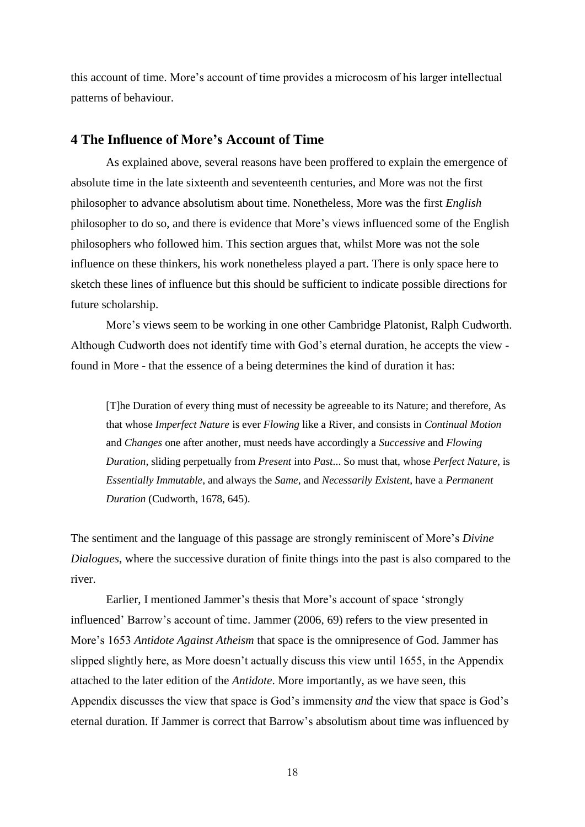this account of time. More's account of time provides a microcosm of his larger intellectual patterns of behaviour.

# **4 The Influence of More's Account of Time**

As explained above, several reasons have been proffered to explain the emergence of absolute time in the late sixteenth and seventeenth centuries, and More was not the first philosopher to advance absolutism about time. Nonetheless, More was the first *English*  philosopher to do so, and there is evidence that More's views influenced some of the English philosophers who followed him. This section argues that, whilst More was not the sole influence on these thinkers, his work nonetheless played a part. There is only space here to sketch these lines of influence but this should be sufficient to indicate possible directions for future scholarship.

More's views seem to be working in one other Cambridge Platonist, Ralph Cudworth. Although Cudworth does not identify time with God's eternal duration, he accepts the view found in More - that the essence of a being determines the kind of duration it has:

[T]he Duration of every thing must of necessity be agreeable to its Nature; and therefore, As that whose *Imperfect Nature* is ever *Flowing* like a River, and consists in *Continual Motion* and *Changes* one after another, must needs have accordingly a *Successive* and *Flowing Duration*, sliding perpetually from *Present* into *Past*... So must that, whose *Perfect Nature*, is *Essentially Immutable*, and always the *Same*, and *Necessarily Existent*, have a *Permanent Duration* (Cudworth, 1678, 645).

The sentiment and the language of this passage are strongly reminiscent of More's *Divine Dialogues*, where the successive duration of finite things into the past is also compared to the river.

Earlier, I mentioned Jammer's thesis that More's account of space 'strongly influenced' Barrow's account of time. Jammer (2006, 69) refers to the view presented in More's 1653 *Antidote Against Atheism* that space is the omnipresence of God. Jammer has slipped slightly here, as More doesn't actually discuss this view until 1655, in the Appendix attached to the later edition of the *Antidote*. More importantly, as we have seen, this Appendix discusses the view that space is God's immensity *and* the view that space is God's eternal duration. If Jammer is correct that Barrow's absolutism about time was influenced by

18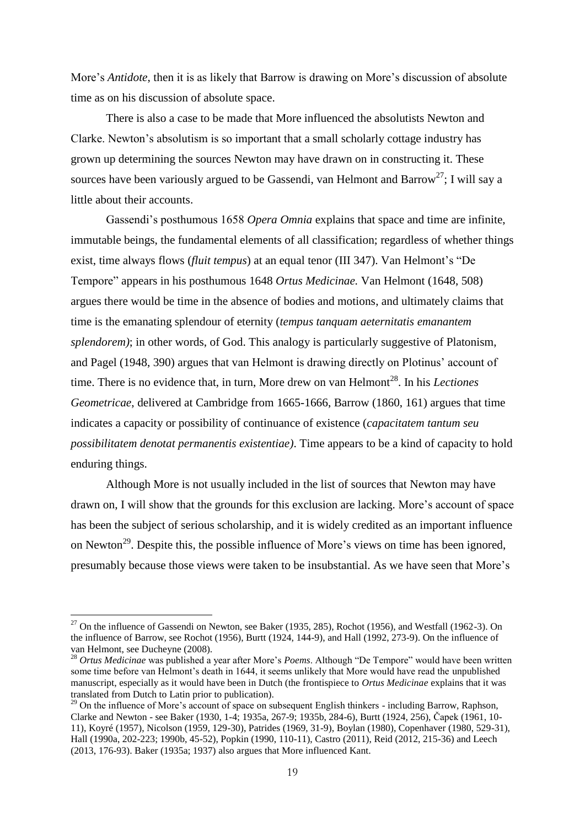More's *Antidote*, then it is as likely that Barrow is drawing on More's discussion of absolute time as on his discussion of absolute space.

There is also a case to be made that More influenced the absolutists Newton and Clarke. Newton's absolutism is so important that a small scholarly cottage industry has grown up determining the sources Newton may have drawn on in constructing it. These sources have been variously argued to be Gassendi, van Helmont and Barrow<sup>27</sup>; I will say a little about their accounts.

Gassendi's posthumous 1658 *Opera Omnia* explains that space and time are infinite, immutable beings, the fundamental elements of all classification; regardless of whether things exist, time always flows (*fluit tempus*) at an equal tenor (III 347). Van Helmont's "De Tempore" appears in his posthumous 1648 *Ortus Medicinae.* Van Helmont (1648, 508) argues there would be time in the absence of bodies and motions, and ultimately claims that time is the emanating splendour of eternity (*tempus tanquam aeternitatis emanantem splendorem)*; in other words, of God. This analogy is particularly suggestive of Platonism, and Pagel (1948, 390) argues that van Helmont is drawing directly on Plotinus' account of time. There is no evidence that, in turn, More drew on van Helmont<sup>28</sup>. In his *Lectiones Geometricae*, delivered at Cambridge from 1665-1666, Barrow (1860, 161) argues that time indicates a capacity or possibility of continuance of existence (*capacitatem tantum seu possibilitatem denotat permanentis existentiae)*. Time appears to be a kind of capacity to hold enduring things.

Although More is not usually included in the list of sources that Newton may have drawn on, I will show that the grounds for this exclusion are lacking. More's account of space has been the subject of serious scholarship, and it is widely credited as an important influence on Newton<sup>29</sup>. Despite this, the possible influence of More's views on time has been ignored, presumably because those views were taken to be insubstantial. As we have seen that More's

 $27$  On the influence of Gassendi on Newton, see Baker (1935, 285), Rochot (1956), and Westfall (1962-3). On the influence of Barrow, see Rochot (1956), Burtt (1924, 144-9), and Hall (1992, 273-9). On the influence of van Helmont, see Ducheyne (2008).

<sup>28</sup> *Ortus Medicinae* was published a year after More's *Poems*. Although "De Tempore" would have been written some time before van Helmont's death in 1644, it seems unlikely that More would have read the unpublished manuscript, especially as it would have been in Dutch (the frontispiece to *Ortus Medicinae* explains that it was translated from Dutch to Latin prior to publication).

<sup>&</sup>lt;sup>29</sup> On the influence of More's account of space on subsequent English thinkers - including Barrow, Raphson, Clarke and Newton - see Baker (1930, 1-4; 1935a, 267-9; 1935b, 284-6), Burtt (1924, 256), Čapek (1961, 10- 11), Koyré (1957), Nicolson (1959, 129-30), Patrides (1969, 31-9), Boylan (1980), Copenhaver (1980, 529-31), Hall (1990a, 202-223; 1990b, 45-52), Popkin (1990, 110-11), Castro (2011), Reid (2012, 215-36) and Leech (2013, 176-93). Baker (1935a; 1937) also argues that More influenced Kant.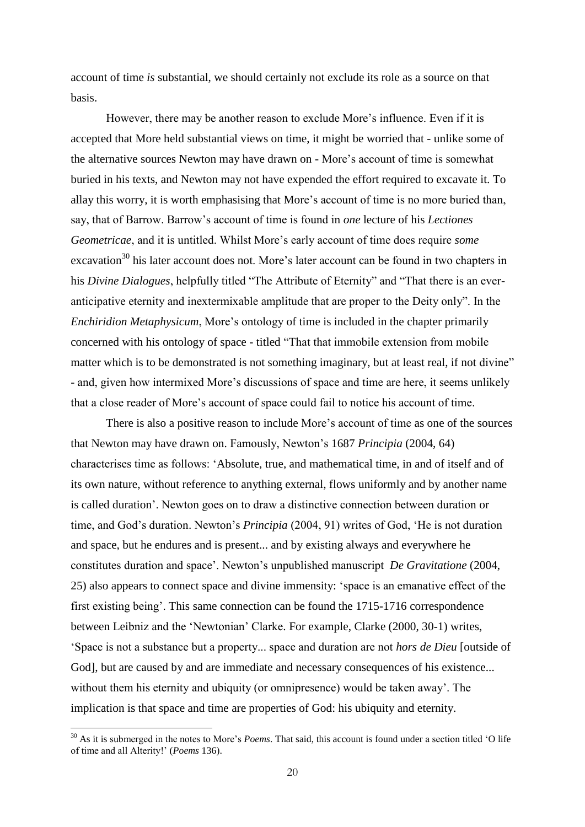account of time *is* substantial, we should certainly not exclude its role as a source on that basis.

However, there may be another reason to exclude More's influence. Even if it is accepted that More held substantial views on time, it might be worried that - unlike some of the alternative sources Newton may have drawn on - More's account of time is somewhat buried in his texts, and Newton may not have expended the effort required to excavate it. To allay this worry, it is worth emphasising that More's account of time is no more buried than, say, that of Barrow. Barrow's account of time is found in *one* lecture of his *Lectiones Geometricae*, and it is untitled. Whilst More's early account of time does require *some*  excavation<sup>30</sup> his later account does not. More's later account can be found in two chapters in his *Divine Dialogues*, helpfully titled "The Attribute of Eternity" and "That there is an everanticipative eternity and inextermixable amplitude that are proper to the Deity only". In the *Enchiridion Metaphysicum*, More's ontology of time is included in the chapter primarily concerned with his ontology of space - titled "That that immobile extension from mobile matter which is to be demonstrated is not something imaginary, but at least real, if not divine" - and, given how intermixed More's discussions of space and time are here, it seems unlikely that a close reader of More's account of space could fail to notice his account of time.

There is also a positive reason to include More's account of time as one of the sources that Newton may have drawn on. Famously, Newton's 1687 *Principia* (2004, 64) characterises time as follows: 'Absolute, true, and mathematical time, in and of itself and of its own nature, without reference to anything external, flows uniformly and by another name is called duration'. Newton goes on to draw a distinctive connection between duration or time, and God's duration. Newton's *Principia* (2004, 91) writes of God, 'He is not duration and space, but he endures and is present... and by existing always and everywhere he constitutes duration and space'. Newton's unpublished manuscript *De Gravitatione* (2004, 25) also appears to connect space and divine immensity: 'space is an emanative effect of the first existing being'. This same connection can be found the 1715-1716 correspondence between Leibniz and the 'Newtonian' Clarke. For example, Clarke (2000, 30-1) writes, 'Space is not a substance but a property... space and duration are not *hors de Dieu* [outside of God], but are caused by and are immediate and necessary consequences of his existence... without them his eternity and ubiquity (or omnipresence) would be taken away'. The implication is that space and time are properties of God: his ubiquity and eternity.

<sup>30</sup> As it is submerged in the notes to More's *Poems*. That said, this account is found under a section titled 'O life of time and all Alterity!' (*Poems* 136).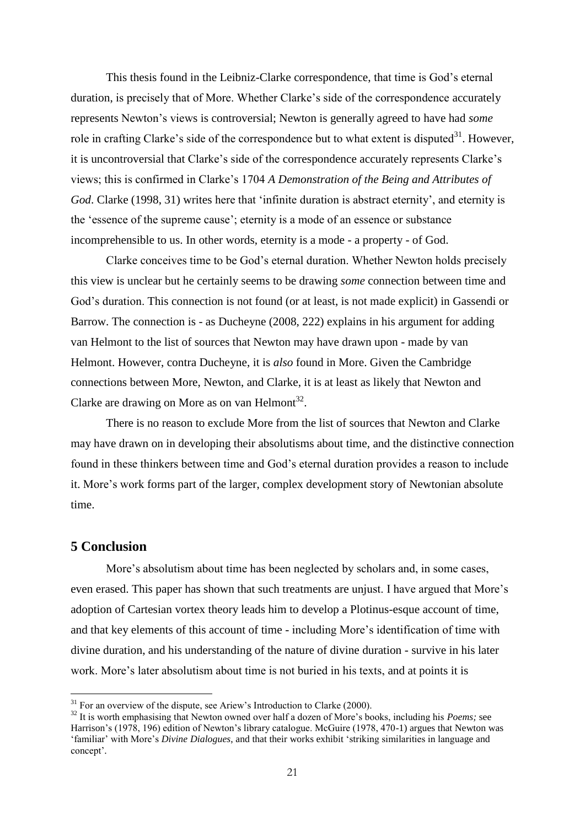This thesis found in the Leibniz-Clarke correspondence, that time is God's eternal duration, is precisely that of More. Whether Clarke's side of the correspondence accurately represents Newton's views is controversial; Newton is generally agreed to have had *some* role in crafting Clarke's side of the correspondence but to what extent is disputed<sup>31</sup>. However, it is uncontroversial that Clarke's side of the correspondence accurately represents Clarke's views; this is confirmed in Clarke's 1704 *A Demonstration of the Being and Attributes of God*. Clarke (1998, 31) writes here that 'infinite duration is abstract eternity', and eternity is the 'essence of the supreme cause'; eternity is a mode of an essence or substance incomprehensible to us. In other words, eternity is a mode - a property - of God.

Clarke conceives time to be God's eternal duration. Whether Newton holds precisely this view is unclear but he certainly seems to be drawing *some* connection between time and God's duration. This connection is not found (or at least, is not made explicit) in Gassendi or Barrow. The connection is - as Ducheyne (2008, 222) explains in his argument for adding van Helmont to the list of sources that Newton may have drawn upon - made by van Helmont. However, contra Ducheyne, it is *also* found in More. Given the Cambridge connections between More, Newton, and Clarke, it is at least as likely that Newton and Clarke are drawing on More as on van Helmont<sup>32</sup>.

There is no reason to exclude More from the list of sources that Newton and Clarke may have drawn on in developing their absolutisms about time, and the distinctive connection found in these thinkers between time and God's eternal duration provides a reason to include it. More's work forms part of the larger, complex development story of Newtonian absolute time.

# **5 Conclusion**

<u>.</u>

More's absolutism about time has been neglected by scholars and, in some cases, even erased. This paper has shown that such treatments are unjust. I have argued that More's adoption of Cartesian vortex theory leads him to develop a Plotinus-esque account of time, and that key elements of this account of time - including More's identification of time with divine duration, and his understanding of the nature of divine duration - survive in his later work. More's later absolutism about time is not buried in his texts, and at points it is

 $31$  For an overview of the dispute, see Ariew's Introduction to Clarke (2000).

<sup>32</sup> It is worth emphasising that Newton owned over half a dozen of More's books, including his *Poems;* see Harrison's (1978, 196) edition of Newton's library catalogue. McGuire (1978, 470-1) argues that Newton was 'familiar' with More's *Divine Dialogues*, and that their works exhibit 'striking similarities in language and concept'.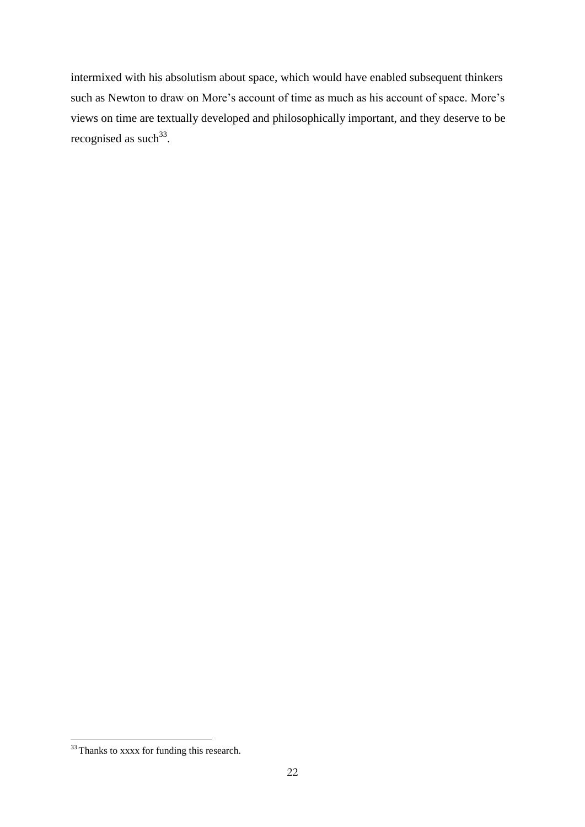intermixed with his absolutism about space, which would have enabled subsequent thinkers such as Newton to draw on More's account of time as much as his account of space. More's views on time are textually developed and philosophically important, and they deserve to be recognised as such  $33$ .

<sup>&</sup>lt;u>.</u> <sup>33</sup> Thanks to xxxx for funding this research.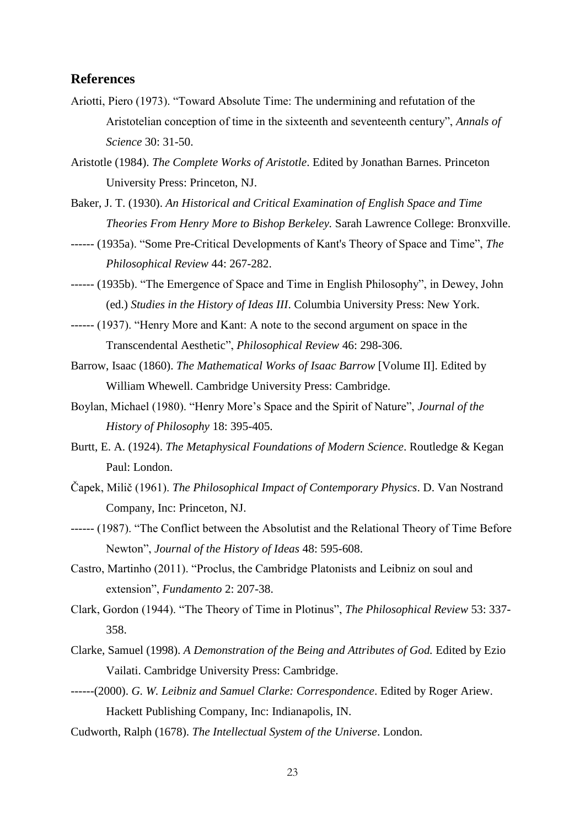# **References**

- Ariotti, Piero (1973). "Toward Absolute Time: The undermining and refutation of the Aristotelian conception of time in the sixteenth and seventeenth century", *Annals of Science* 30: 31-50.
- Aristotle (1984). *The Complete Works of Aristotle*. Edited by Jonathan Barnes. Princeton University Press: Princeton, NJ.
- Baker, J. T. (1930). *An Historical and Critical Examination of English Space and Time Theories From Henry More to Bishop Berkeley.* Sarah Lawrence College: Bronxville.
- ------ (1935a). "Some Pre-Critical Developments of Kant's Theory of Space and Time", *The Philosophical Review* 44: 267-282.
- ------ (1935b). "The Emergence of Space and Time in English Philosophy", in Dewey, John (ed.) *Studies in the History of Ideas III*. Columbia University Press: New York.
- ------ (1937). "Henry More and Kant: A note to the second argument on space in the Transcendental Aesthetic", *Philosophical Review* 46: 298-306.
- Barrow, Isaac (1860). *The Mathematical Works of Isaac Barrow* [Volume II]. Edited by William Whewell. Cambridge University Press: Cambridge.
- Boylan, Michael (1980). "Henry More's Space and the Spirit of Nature", *Journal of the History of Philosophy* 18: 395-405.
- Burtt, E. A. (1924). *The Metaphysical Foundations of Modern Science*. Routledge & Kegan Paul: London.
- Čapek, Milič (1961). *The Philosophical Impact of Contemporary Physics*. D. Van Nostrand Company, Inc: Princeton, NJ.
- ------ (1987). "The Conflict between the Absolutist and the Relational Theory of Time Before Newton", *Journal of the History of Ideas* 48: 595-608.
- Castro, Martinho (2011). "Proclus, the Cambridge Platonists and Leibniz on soul and extension", *Fundamento* 2: 207-38.
- Clark, Gordon (1944). "The Theory of Time in Plotinus", *The Philosophical Review* 53: 337- 358.
- Clarke, Samuel (1998). *A Demonstration of the Being and Attributes of God.* Edited by Ezio Vailati. Cambridge University Press: Cambridge.
- ------(2000). *G. W. Leibniz and Samuel Clarke: Correspondence*. Edited by Roger Ariew. Hackett Publishing Company, Inc: Indianapolis, IN.
- Cudworth, Ralph (1678). *The Intellectual System of the Universe*. London.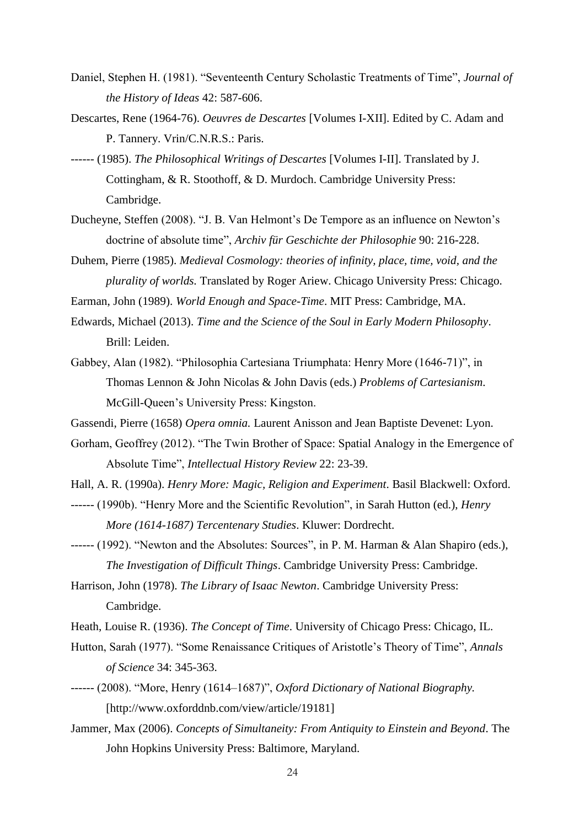- Daniel, Stephen H. (1981). "Seventeenth Century Scholastic Treatments of Time", *Journal of the History of Ideas* 42: 587-606.
- Descartes, Rene (1964-76). *Oeuvres de Descartes* [Volumes I-XII]. Edited by C. Adam and P. Tannery. Vrin/C.N.R.S.: Paris.
- ------ (1985). *The Philosophical Writings of Descartes* [Volumes I-II]. Translated by J. Cottingham, & R. Stoothoff, & D. Murdoch. Cambridge University Press: Cambridge.
- Ducheyne, Steffen (2008). "J. B. Van Helmont's De Tempore as an influence on Newton's doctrine of absolute time", *[Archiv für Geschichte der Philosophie](http://philpapers.org/asearch.pl?pubn=Archiv%20f%C3%BCr%20Geschichte%20der%20Philosophie)* 90: 216-228.
- Duhem, Pierre (1985). *Medieval Cosmology: theories of infinity, place, time, void, and the plurality of worlds.* Translated by Roger Ariew. Chicago University Press: Chicago.

Earman, John (1989). *World Enough and Space-Time*. MIT Press: Cambridge, MA.

- Edwards, Michael (2013). *Time and the Science of the Soul in Early Modern Philosophy*. Brill: Leiden.
- Gabbey, Alan (1982). "Philosophia Cartesiana Triumphata: Henry More (1646-71)", in Thomas Lennon & John Nicolas & John Davis (eds.) *Problems of Cartesianism*. McGill-Queen's University Press: Kingston.
- Gassendi, Pierre (1658) *Opera omnia.* Laurent Anisson and Jean Baptiste Devenet: Lyon.
- Gorham, Geoffrey (2012). "The Twin Brother of Space: Spatial Analogy in the Emergence of Absolute Time", *Intellectual History Review* 22: 23-39.
- Hall, A. R. (1990a). *Henry More: Magic, Religion and Experiment*. Basil Blackwell: Oxford.
- ------ (1990b). "Henry More and the Scientific Revolution", in Sarah Hutton (ed.), *Henry More (1614-1687) Tercentenary Studies*. Kluwer: Dordrecht.
- ------ (1992). "Newton and the Absolutes: Sources", in P. M. Harman & Alan Shapiro (eds.), *The Investigation of Difficult Things*. Cambridge University Press: Cambridge.
- Harrison, John (1978). *The Library of Isaac Newton*. Cambridge University Press: Cambridge.
- Heath, Louise R. (1936). *The Concept of Time*. University of Chicago Press: Chicago, IL.
- Hutton, Sarah (1977). "Some Renaissance Critiques of Aristotle's Theory of Time", *Annals of Science* 34: 345-363.
- ------ (2008). "More, Henry (1614–1687)", *Oxford Dictionary of National Biography.*  [http://www.oxforddnb.com/view/article/19181]
- Jammer, Max (2006). *Concepts of Simultaneity: From Antiquity to Einstein and Beyond*. The John Hopkins University Press: Baltimore, Maryland.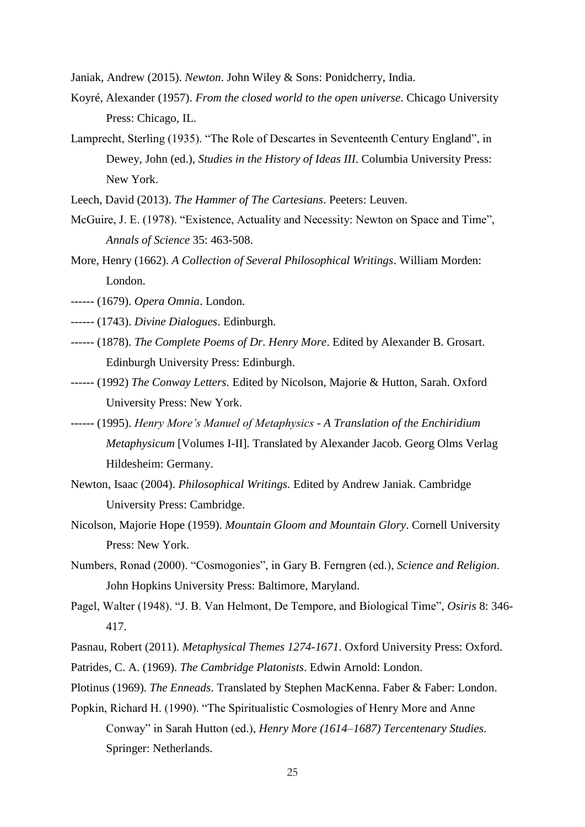Janiak, Andrew (2015). *Newton*. John Wiley & Sons: Ponidcherry, India.

- Koyré, Alexander (1957). *From the closed world to the open universe*. Chicago University Press: Chicago, IL.
- Lamprecht, Sterling (1935). "The Role of Descartes in Seventeenth Century England", in Dewey, John (ed.), *Studies in the History of Ideas III*. Columbia University Press: New York.
- Leech, David (2013). *The Hammer of The Cartesians*. Peeters: Leuven.
- McGuire, J. E. (1978). "Existence, Actuality and Necessity: Newton on Space and Time", *Annals of Science* 35: 463-508.
- More, Henry (1662). *A Collection of Several Philosophical Writings*. William Morden: London.
- ------ (1679). *Opera Omnia*. London.
- ------ (1743). *Divine Dialogues*. Edinburgh.
- ------ (1878). *The Complete Poems of Dr. Henry More*. Edited by Alexander B. Grosart. Edinburgh University Press: Edinburgh.
- ------ (1992) *The Conway Letters.* Edited by Nicolson, Majorie & Hutton, Sarah. Oxford University Press: New York.
- ------ (1995). *Henry More's Manuel of Metaphysics - A Translation of the Enchiridium Metaphysicum* [Volumes I-II]*.* Translated by Alexander Jacob. Georg Olms Verlag Hildesheim: Germany.
- Newton, Isaac (2004). *Philosophical Writings.* Edited by Andrew Janiak. Cambridge University Press: Cambridge.
- Nicolson, Majorie Hope (1959). *Mountain Gloom and Mountain Glory*. Cornell University Press: New York.
- Numbers, Ronad (2000). "Cosmogonies", in Gary B. Ferngren (ed.), *Science and Religion*. John Hopkins University Press: Baltimore, Maryland.
- Pagel, Walter (1948). "J. B. Van Helmont, De Tempore, and Biological Time", *Osiris* 8: 346- 417.
- Pasnau, Robert (2011). *Metaphysical Themes 1274-1671*. Oxford University Press: Oxford.
- Patrides, C. A. (1969). *The Cambridge Platonists*. Edwin Arnold: London.
- Plotinus (1969). *The Enneads*. Translated by Stephen MacKenna. Faber & Faber: London.
- Popkin, Richard H. (1990). "The Spiritualistic Cosmologies of Henry More and Anne Conway" in Sarah Hutton (ed.), *Henry More (1614–1687) Tercentenary Studies*. Springer: Netherlands.